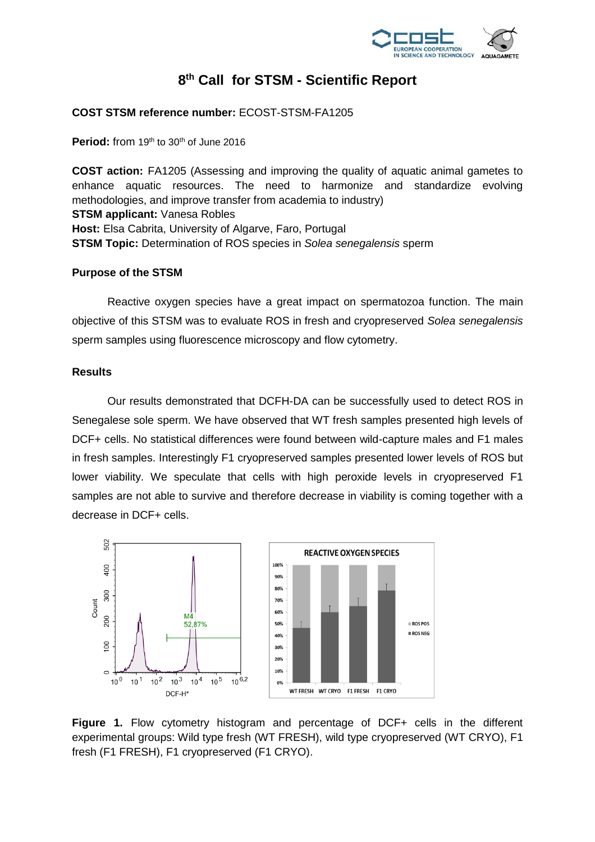

## **8 th Call for STSM - Scientific Report**

### **COST STSM reference number:** ECOST-STSM-FA1205

**Period:** from 19<sup>th</sup> to 30<sup>th</sup> of June 2016

**COST action:** FA1205 (Assessing and improving the quality of aquatic animal gametes to enhance aquatic resources. The need to harmonize and standardize evolving methodologies, and improve transfer from academia to industry) **STSM applicant:** Vanesa Robles **Host:** Elsa Cabrita, University of Algarve, Faro, Portugal **STSM Topic:** Determination of ROS species in *Solea senegalensis* sperm

#### **Purpose of the STSM**

Reactive oxygen species have a great impact on spermatozoa function. The main objective of this STSM was to evaluate ROS in fresh and cryopreserved *Solea senegalensis* sperm samples using fluorescence microscopy and flow cytometry.

## **Results**

Our results demonstrated that DCFH-DA can be successfully used to detect ROS in Senegalese sole sperm. We have observed that WT fresh samples presented high levels of DCF+ cells. No statistical differences were found between wild-capture males and F1 males in fresh samples. Interestingly F1 cryopreserved samples presented lower levels of ROS but lower viability. We speculate that cells with high peroxide levels in cryopreserved F1 samples are not able to survive and therefore decrease in viability is coming together with a decrease in DCF+ cells.



**Figure 1.** Flow cytometry histogram and percentage of DCF+ cells in the different experimental groups: Wild type fresh (WT FRESH), wild type cryopreserved (WT CRYO), F1 fresh (F1 FRESH), F1 cryopreserved (F1 CRYO).